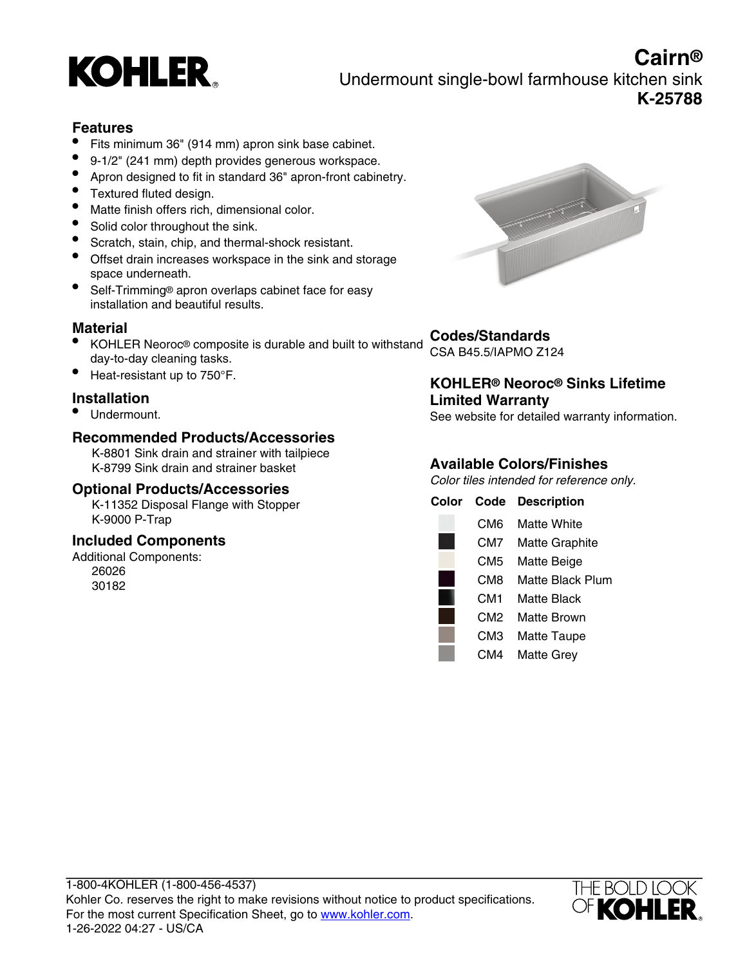

**Cairn®** Undermount single-bowl farmhouse kitchen sink **K-25788**

# **Features**

- Fits minimum 36" (914 mm) apron sink base cabinet.
- 9-1/2" (241 mm) depth provides generous workspace.<br>• Anton designed to fit in standard 36" apron-front cabin
- Apron designed to fit in standard 36" apron-front cabinetry.
- Textured fluted design.
- Matte finish offers rich, dimensional color.
- Solid color throughout the sink.
- Scratch, stain, chip, and thermal-shock resistant.
- Offset drain increases workspace in the sink and storage space underneath.
- Self-Trimming® apron overlaps cabinet face for easy installation and beautiful results.

## **Material**

- KOHLER Neoroc® composite is durable and built to withstand day-to-day cleaning tasks.
- Heat-resistant up to 750°F.

## **Installation**

• Undermount.

## **Recommended Products/Accessories**

K-8801 Sink drain and strainer with tailpiece K-8799 Sink drain and strainer basket

## **Optional Products/Accessories**

K-11352 Disposal Flange with Stopper K-9000 P-Trap

## **Included Components**

Additional Components: 26026 30182



# **Codes/Standards**

CSA B45.5/IAPMO Z124

#### **KOHLER® Neoroc® Sinks Lifetime Limited Warranty**

See website for detailed warranty information.

## **Available Colors/Finishes**

Color tiles intended for reference only.

| Color | Code | <b>Description</b>    |
|-------|------|-----------------------|
|       | CM6  | Matte White           |
|       | CM7  | <b>Matte Graphite</b> |
|       | CM5  | Matte Beige           |
|       | CM8  | Matte Black Plum      |
|       | CM1  | Matte Black           |
|       | CM2  | Matte Brown           |
|       | СМЗ  | <b>Matte Taupe</b>    |
|       | CM4  | Matte Grey            |